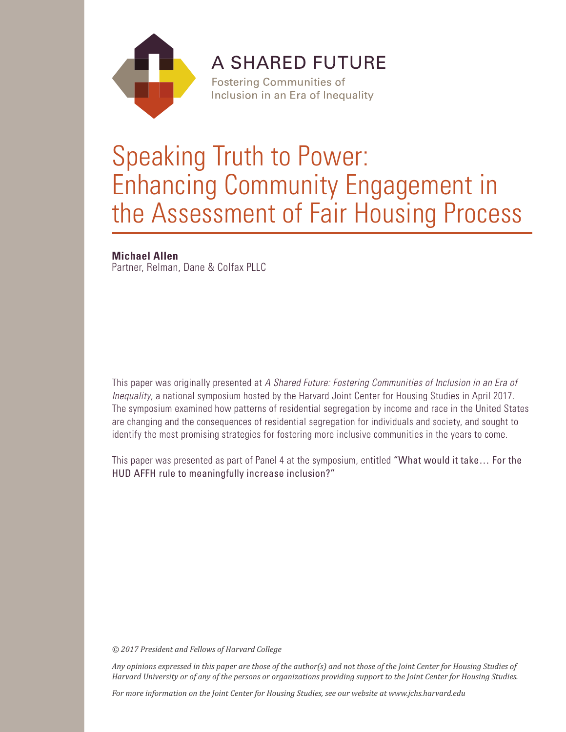

**A SHARED FUTURE** 

**Fostering Communities of** Inclusion in an Era of Inequality

# Speaking Truth to Power: Enhancing Community Engagement in the Assessment of Fair Housing Process

# **Michael Allen**

Partner, Relman, Dane & Colfax PLLC

This paper was originally presented at *A Shared Future: Fostering Communities of Inclusion in an Era of Inequality*, a national symposium hosted by the Harvard Joint Center for Housing Studies in April 2017. The symposium examined how patterns of residential segregation by income and race in the United States are changing and the consequences of residential segregation for individuals and society, and sought to identify the most promising strategies for fostering more inclusive communities in the years to come.

This paper was presented as part of Panel 4 at the symposium, entitled "What would it take… For the HUD AFFH rule to meaningfully increase inclusion?"

*© 2017 President and Fellows of Harvard College*

*Any opinions expressed in this paper are those of the author(s) and not those of the Joint Center for Housing Studies of Harvard University or of any of the persons or organizations providing support to the Joint Center for Housing Studies.* 

*For more information on the Joint Center for Housing Studies, see our website at www.jchs.harvard.edu*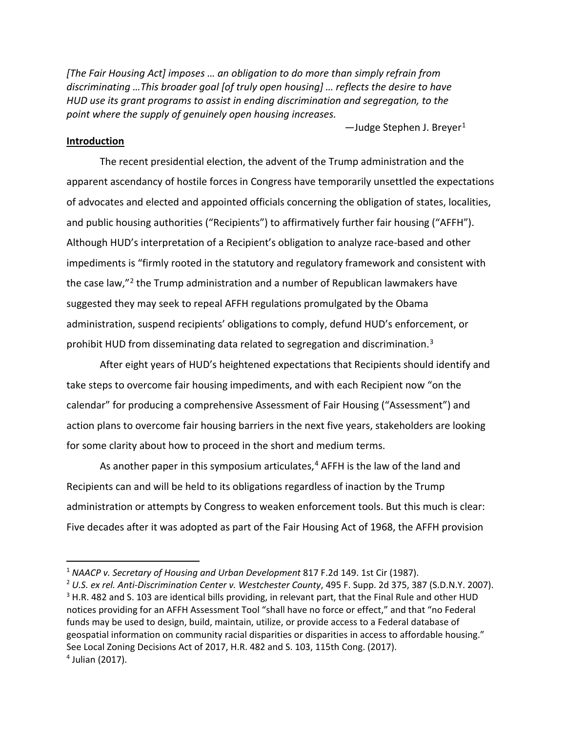*[The Fair Housing Act] imposes … an obligation to do more than simply refrain from discriminating …This broader goal [of truly open housing] … reflects the desire to have HUD use its grant programs to assist in ending discrimination and segregation, to the point where the supply of genuinely open housing increases.*

 $-$ Judge Stephen J. Breyer $1$ 

# **Introduction**

The recent presidential election, the advent of the Trump administration and the apparent ascendancy of hostile forces in Congress have temporarily unsettled the expectations of advocates and elected and appointed officials concerning the obligation of states, localities, and public housing authorities ("Recipients") to affirmatively further fair housing ("AFFH"). Although HUD's interpretation of a Recipient's obligation to analyze race-based and other impediments is "firmly rooted in the statutory and regulatory framework and consistent with the case law,"[2](#page-2-1) the Trump administration and a number of Republican lawmakers have suggested they may seek to repeal AFFH regulations promulgated by the Obama administration, suspend recipients' obligations to comply, defund HUD's enforcement, or prohibit HUD from disseminating data related to segregation and discrimination.[3](#page-2-2)

After eight years of HUD's heightened expectations that Recipients should identify and take steps to overcome fair housing impediments, and with each Recipient now "on the calendar" for producing a comprehensive Assessment of Fair Housing ("Assessment") and action plans to overcome fair housing barriers in the next five years, stakeholders are looking for some clarity about how to proceed in the short and medium terms.

As another paper in this symposium articulates, $4$  AFFH is the law of the land and Recipients can and will be held to its obligations regardless of inaction by the Trump administration or attempts by Congress to weaken enforcement tools. But this much is clear: Five decades after it was adopted as part of the Fair Housing Act of 1968, the AFFH provision

<span id="page-2-0"></span> <sup>1</sup> *NAACP v. Secretary of Housing and Urban Development* 817 F.2d 149. 1st Cir (1987).

<span id="page-2-3"></span><span id="page-2-2"></span><span id="page-2-1"></span><sup>2</sup> *U.S. ex rel. Anti-Discrimination Center v. Westchester County*, 495 F. Supp. 2d 375, 387 (S.D.N.Y. 2007). <sup>3</sup> H.R. 482 and S. 103 are identical bills providing, in relevant part, that the Final Rule and other HUD notices providing for an AFFH Assessment Tool "shall have no force or effect," and that "no Federal funds may be used to design, build, maintain, utilize, or provide access to a Federal database of geospatial information on community racial disparities or disparities in access to affordable housing." See Local Zoning Decisions Act of 2017, H.R. 482 and S. 103, 115th Cong. (2017).  $4$  Julian (2017).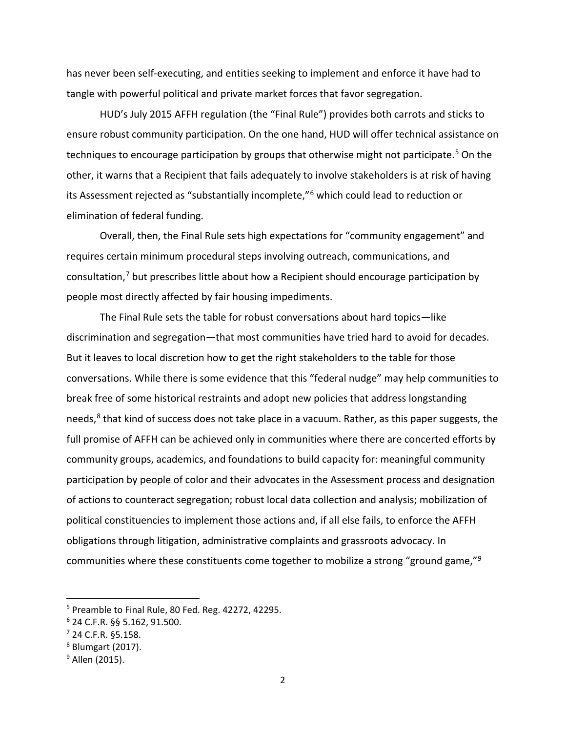has never been self-executing, and entities seeking to implement and enforce it have had to tangle with powerful political and private market forces that favor segregation.

HUD's July 2015 AFFH regulation (the "Final Rule") provides both carrots and sticks to ensure robust community participation. On the one hand, HUD will offer technical assistance on techniques to encourage participation by groups that otherwise might not participate.<sup>[5](#page-3-0)</sup> On the other, it warns that a Recipient that fails adequately to involve stakeholders is at risk of having its Assessment rejected as "substantially incomplete,"<sup>[6](#page-3-1)</sup> which could lead to reduction or elimination of federal funding.

Overall, then, the Final Rule sets high expectations for "community engagement" and requires certain minimum procedural steps involving outreach, communications, and consultation, $<sup>7</sup>$  $<sup>7</sup>$  $<sup>7</sup>$  but prescribes little about how a Recipient should encourage participation by</sup> people most directly affected by fair housing impediments.

The Final Rule sets the table for robust conversations about hard topics—like discrimination and segregation—that most communities have tried hard to avoid for decades. But it leaves to local discretion how to get the right stakeholders to the table for those conversations. While there is some evidence that this "federal nudge" may help communities to break free of some historical restraints and adopt new policies that address longstanding needs, $8$  that kind of success does not take place in a vacuum. Rather, as this paper suggests, the full promise of AFFH can be achieved only in communities where there are concerted efforts by community groups, academics, and foundations to build capacity for: meaningful community participation by people of color and their advocates in the Assessment process and designation of actions to counteract segregation; robust local data collection and analysis; mobilization of political constituencies to implement those actions and, if all else fails, to enforce the AFFH obligations through litigation, administrative complaints and grassroots advocacy. In communities where these constituents come together to mobilize a strong "ground game,"<sup>[9](#page-3-4)</sup>

<span id="page-3-0"></span> <sup>5</sup> Preamble to Final Rule, 80 Fed. Reg. 42272, 42295.

<span id="page-3-1"></span><sup>6</sup> 24 C.F.R. §§ 5.162, 91.500.

<span id="page-3-2"></span> $7$  24 C.F.R. §5.158.

<span id="page-3-3"></span><sup>8</sup> Blumgart (2017).

<span id="page-3-4"></span> $9$  Allen (2015).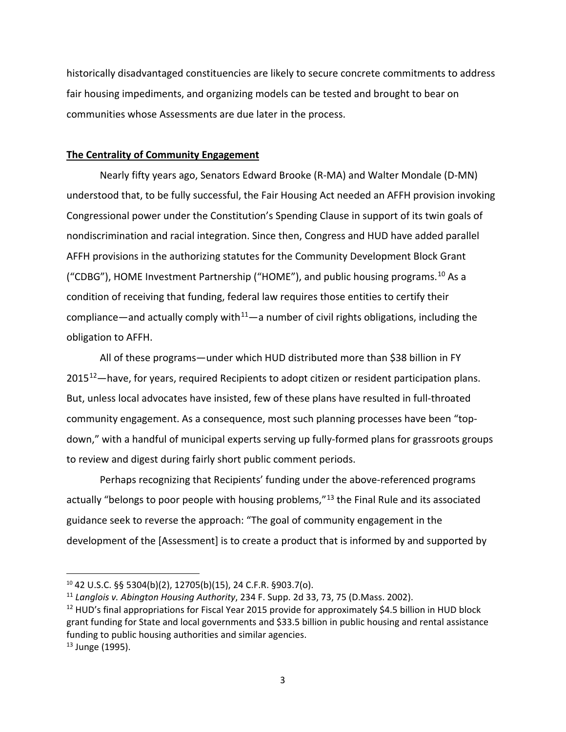historically disadvantaged constituencies are likely to secure concrete commitments to address fair housing impediments, and organizing models can be tested and brought to bear on communities whose Assessments are due later in the process.

# **The Centrality of Community Engagement**

Nearly fifty years ago, Senators Edward Brooke (R-MA) and Walter Mondale (D-MN) understood that, to be fully successful, the Fair Housing Act needed an AFFH provision invoking Congressional power under the Constitution's Spending Clause in support of its twin goals of nondiscrimination and racial integration. Since then, Congress and HUD have added parallel AFFH provisions in the authorizing statutes for the Community Development Block Grant ("CDBG"), HOME Investment Partnership ("HOME"), and public housing programs.<sup>[10](#page-4-0)</sup> As a condition of receiving that funding, federal law requires those entities to certify their compliance—and actually comply with<sup>11</sup>—a number of civil rights obligations, including the obligation to AFFH.

All of these programs—under which HUD distributed more than \$38 billion in FY 2015<sup>12</sup>—have, for years, required Recipients to adopt citizen or resident participation plans. But, unless local advocates have insisted, few of these plans have resulted in full-throated community engagement. As a consequence, most such planning processes have been "topdown," with a handful of municipal experts serving up fully-formed plans for grassroots groups to review and digest during fairly short public comment periods.

Perhaps recognizing that Recipients' funding under the above-referenced programs actually "belongs to poor people with housing problems,"<sup>[13](#page-4-3)</sup> the Final Rule and its associated guidance seek to reverse the approach: "The goal of community engagement in the development of the [Assessment] is to create a product that is informed by and supported by

<span id="page-4-0"></span> <sup>10</sup> 42 U.S.C. §§ 5304(b)(2), 12705(b)(15), 24 C.F.R. §903.7(o).

<span id="page-4-1"></span><sup>11</sup> *Langlois v. Abington Housing Authority*, 234 F. Supp. 2d 33, 73, 75 (D.Mass. 2002).

<span id="page-4-2"></span><sup>&</sup>lt;sup>12</sup> HUD's final appropriations for Fiscal Year 2015 provide for approximately \$4.5 billion in HUD block grant funding for State and local governments and \$33.5 billion in public housing and rental assistance funding to public housing authorities and similar agencies.

<span id="page-4-3"></span><sup>13</sup> Junge (1995).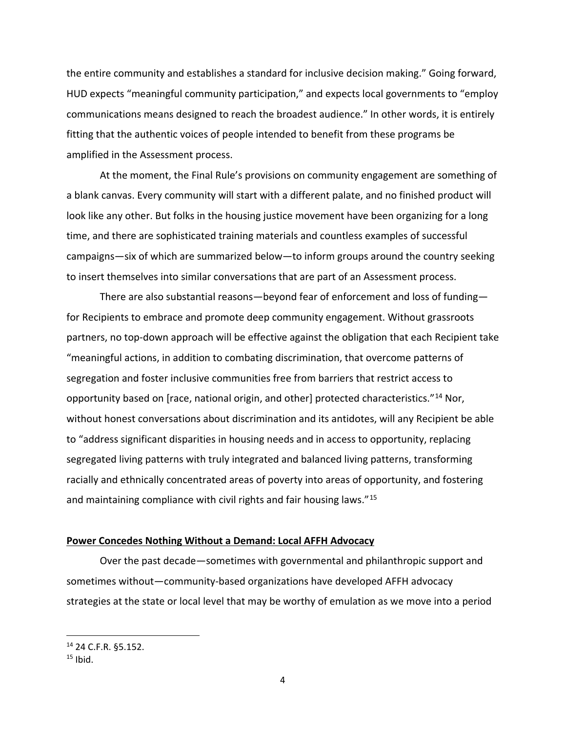the entire community and establishes a standard for inclusive decision making." Going forward, HUD expects "meaningful community participation," and expects local governments to "employ communications means designed to reach the broadest audience." In other words, it is entirely fitting that the authentic voices of people intended to benefit from these programs be amplified in the Assessment process.

At the moment, the Final Rule's provisions on community engagement are something of a blank canvas. Every community will start with a different palate, and no finished product will look like any other. But folks in the housing justice movement have been organizing for a long time, and there are sophisticated training materials and countless examples of successful campaigns—six of which are summarized below—to inform groups around the country seeking to insert themselves into similar conversations that are part of an Assessment process.

There are also substantial reasons—beyond fear of enforcement and loss of funding for Recipients to embrace and promote deep community engagement. Without grassroots partners, no top-down approach will be effective against the obligation that each Recipient take "meaningful actions, in addition to combating discrimination, that overcome patterns of segregation and foster inclusive communities free from barriers that restrict access to opportunity based on [race, national origin, and other] protected characteristics."[14](#page-5-0) Nor, without honest conversations about discrimination and its antidotes, will any Recipient be able to "address significant disparities in housing needs and in access to opportunity, replacing segregated living patterns with truly integrated and balanced living patterns, transforming racially and ethnically concentrated areas of poverty into areas of opportunity, and fostering and maintaining compliance with civil rights and fair housing laws."<sup>[15](#page-5-1)</sup>

### **Power Concedes Nothing Without a Demand: Local AFFH Advocacy**

Over the past decade—sometimes with governmental and philanthropic support and sometimes without—community-based organizations have developed AFFH advocacy strategies at the state or local level that may be worthy of emulation as we move into a period

<span id="page-5-0"></span> <sup>14</sup> 24 C.F.R. §5.152.

<span id="page-5-1"></span> $15$  Ibid.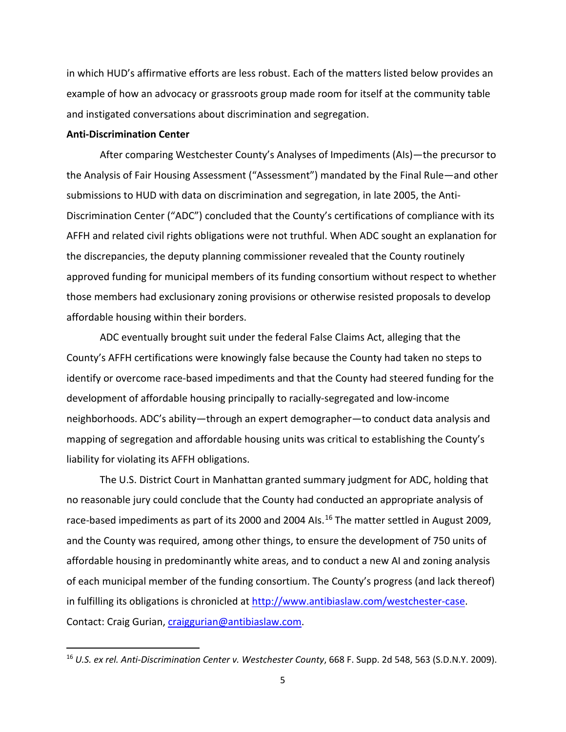in which HUD's affirmative efforts are less robust. Each of the matters listed below provides an example of how an advocacy or grassroots group made room for itself at the community table and instigated conversations about discrimination and segregation.

#### **Anti-Discrimination Center**

After comparing Westchester County's Analyses of Impediments (AIs)—the precursor to the Analysis of Fair Housing Assessment ("Assessment") mandated by the Final Rule—and other submissions to HUD with data on discrimination and segregation, in late 2005, the Anti-Discrimination Center ("ADC") concluded that the County's certifications of compliance with its AFFH and related civil rights obligations were not truthful. When ADC sought an explanation for the discrepancies, the deputy planning commissioner revealed that the County routinely approved funding for municipal members of its funding consortium without respect to whether those members had exclusionary zoning provisions or otherwise resisted proposals to develop affordable housing within their borders.

ADC eventually brought suit under the federal False Claims Act, alleging that the County's AFFH certifications were knowingly false because the County had taken no steps to identify or overcome race-based impediments and that the County had steered funding for the development of affordable housing principally to racially-segregated and low-income neighborhoods. ADC's ability—through an expert demographer—to conduct data analysis and mapping of segregation and affordable housing units was critical to establishing the County's liability for violating its AFFH obligations.

The U.S. District Court in Manhattan granted summary judgment for ADC, holding that no reasonable jury could conclude that the County had conducted an appropriate analysis of race-based impediments as part of its 2000 and 2004 Als.<sup>[16](#page-6-0)</sup> The matter settled in August 2009, and the County was required, among other things, to ensure the development of 750 units of affordable housing in predominantly white areas, and to conduct a new AI and zoning analysis of each municipal member of the funding consortium. The County's progress (and lack thereof) in fulfilling its obligations is chronicled at [http://www.antibiaslaw.com/westchester-case.](http://www.antibiaslaw.com/westchester-case) Contact: Craig Gurian, [craiggurian@antibiaslaw.com.](mailto:craiggurian@antibiaslaw.com)

<span id="page-6-0"></span> <sup>16</sup> *U.S. ex rel. Anti-Discrimination Center v. Westchester County*, 668 F. Supp. 2d 548, 563 (S.D.N.Y. 2009).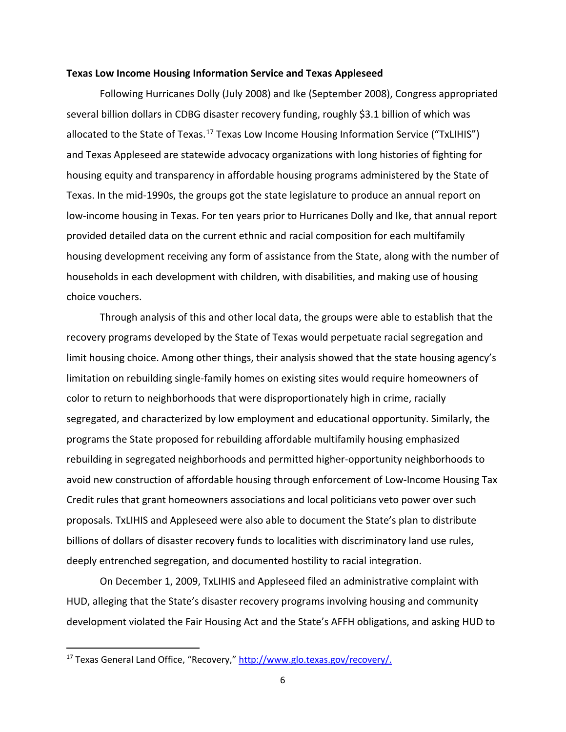#### **Texas Low Income Housing Information Service and Texas Appleseed**

Following Hurricanes Dolly (July 2008) and Ike (September 2008), Congress appropriated several billion dollars in CDBG disaster recovery funding, roughly \$3.1 billion of which was allocated to the State of Texas.[17](#page-7-0) Texas Low Income Housing Information Service ("TxLIHIS") and Texas Appleseed are statewide advocacy organizations with long histories of fighting for housing equity and transparency in affordable housing programs administered by the State of Texas. In the mid-1990s, the groups got the state legislature to produce an annual report on low-income housing in Texas. For ten years prior to Hurricanes Dolly and Ike, that annual report provided detailed data on the current ethnic and racial composition for each multifamily housing development receiving any form of assistance from the State, along with the number of households in each development with children, with disabilities, and making use of housing choice vouchers.

Through analysis of this and other local data, the groups were able to establish that the recovery programs developed by the State of Texas would perpetuate racial segregation and limit housing choice. Among other things, their analysis showed that the state housing agency's limitation on rebuilding single-family homes on existing sites would require homeowners of color to return to neighborhoods that were disproportionately high in crime, racially segregated, and characterized by low employment and educational opportunity. Similarly, the programs the State proposed for rebuilding affordable multifamily housing emphasized rebuilding in segregated neighborhoods and permitted higher-opportunity neighborhoods to avoid new construction of affordable housing through enforcement of Low-Income Housing Tax Credit rules that grant homeowners associations and local politicians veto power over such proposals. TxLIHIS and Appleseed were also able to document the State's plan to distribute billions of dollars of disaster recovery funds to localities with discriminatory land use rules, deeply entrenched segregation, and documented hostility to racial integration.

On December 1, 2009, TxLIHIS and Appleseed filed an administrative complaint with HUD, alleging that the State's disaster recovery programs involving housing and community development violated the Fair Housing Act and the State's AFFH obligations, and asking HUD to

<span id="page-7-0"></span><sup>&</sup>lt;sup>17</sup> Texas General Land Office, "Recovery," [http://www.glo.texas.gov/recovery/.](http://www.glo.texas.gov/recovery/)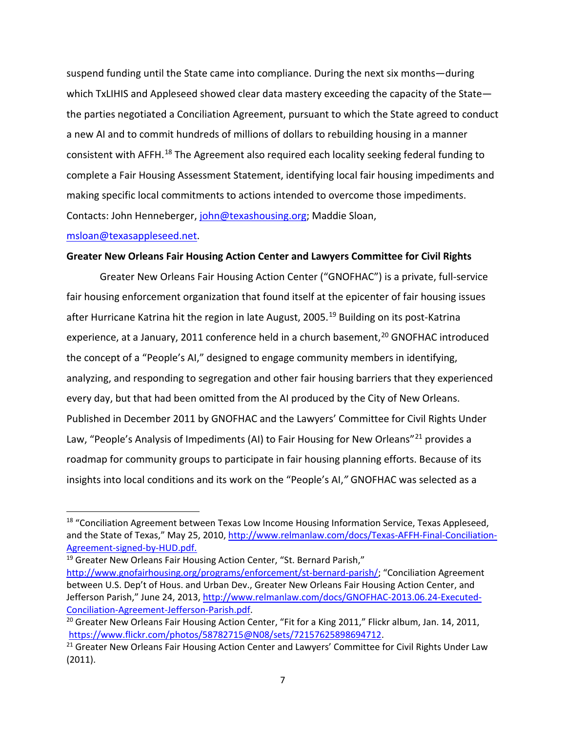suspend funding until the State came into compliance. During the next six months—during which TxLIHIS and Appleseed showed clear data mastery exceeding the capacity of the Statethe parties negotiated a Conciliation Agreement, pursuant to which the State agreed to conduct a new AI and to commit hundreds of millions of dollars to rebuilding housing in a manner consistent with AFFH.<sup>[18](#page-8-0)</sup> The Agreement also required each locality seeking federal funding to complete a Fair Housing Assessment Statement, identifying local fair housing impediments and making specific local commitments to actions intended to overcome those impediments. Contacts: John Henneberger, [john@texashousing.org;](mailto:john@texashousing.org) Maddie Sloan,

## [msloan@texasappleseed.net.](mailto:msloan@texasappleseed.net)

# **Greater New Orleans Fair Housing Action Center and Lawyers Committee for Civil Rights**

Greater New Orleans Fair Housing Action Center ("GNOFHAC") is a private, full-service fair housing enforcement organization that found itself at the epicenter of fair housing issues after Hurricane Katrina hit the region in late August, 2005.<sup>[19](#page-8-1)</sup> Building on its post-Katrina experience, at a January, 2011 conference held in a church basement, <sup>20</sup> GNOFHAC introduced the concept of a "People's AI," designed to engage community members in identifying, analyzing, and responding to segregation and other fair housing barriers that they experienced every day, but that had been omitted from the AI produced by the City of New Orleans. Published in December 2011 by GNOFHAC and the Lawyers' Committee for Civil Rights Under Law, "People's Analysis of Impediments (AI) to Fair Housing for New Orleans"<sup>[21](#page-8-3)</sup> provides a roadmap for community groups to participate in fair housing planning efforts. Because of its insights into local conditions and its work on the "People's AI,*"* GNOFHAC was selected as a

<span id="page-8-1"></span><sup>19</sup> Greater New Orleans Fair Housing Action Center, "St. Bernard Parish," [http://www.gnofairhousing.org/programs/enforcement/st-bernard-parish/;](http://www.gnofairhousing.org/programs/enforcement/st-bernard-parish/) "Conciliation Agreement between U.S. Dep't of Hous. and Urban Dev., Greater New Orleans Fair Housing Action Center, and Jefferson Parish," June 24, 2013[, http://www.relmanlaw.com/docs/GNOFHAC-2013.06.24-Executed-](http://www.relmanlaw.com/docs/GNOFHAC-2013.06.24-Executed-Conciliation-Agreement-Jefferson-Parish.pdf)[Conciliation-Agreement-Jefferson-Parish.pdf.](http://www.relmanlaw.com/docs/GNOFHAC-2013.06.24-Executed-Conciliation-Agreement-Jefferson-Parish.pdf)

<span id="page-8-0"></span><sup>&</sup>lt;sup>18</sup> "Conciliation Agreement between Texas Low Income Housing Information Service, Texas Appleseed, and the State of Texas," May 25, 2010, [http://www.relmanlaw.com/docs/Texas-AFFH-Final-Conciliation-](http://www.relmanlaw.com/docs/Texas-AFFH-Final-Conciliation-Agreement-signed-by-HUD.pdf)[Agreement-signed-by-HUD.pdf.](http://www.relmanlaw.com/docs/Texas-AFFH-Final-Conciliation-Agreement-signed-by-HUD.pdf)

<span id="page-8-2"></span> $^{20}$  Greater New Orleans Fair Housing Action Center, "Fit for a King 2011," Flickr album, Jan. 14, 2011, [https://www.flickr.com/photos/58782715@N08/sets/72157625898694712.](https://www.flickr.com/photos/58782715@N08/sets/72157625898694712)

<span id="page-8-3"></span><sup>&</sup>lt;sup>21</sup> Greater New Orleans Fair Housing Action Center and Lawyers' Committee for Civil Rights Under Law (2011).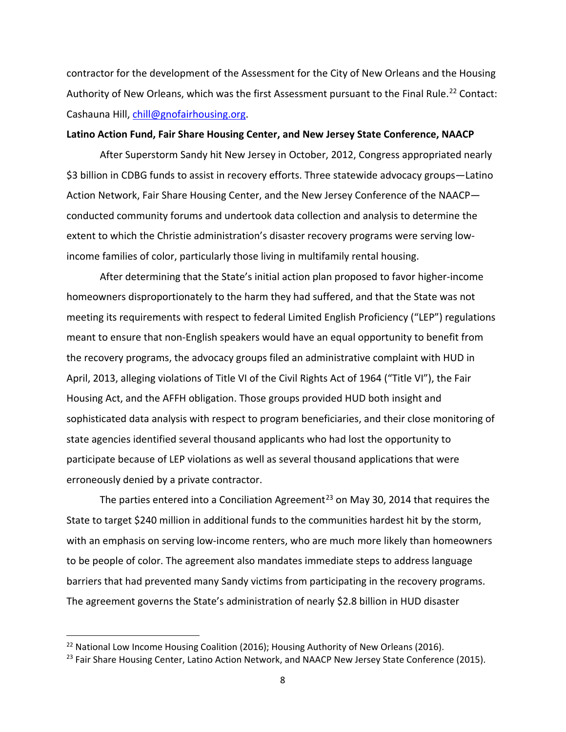contractor for the development of the Assessment for the City of New Orleans and the Housing Authority of New Orleans, which was the first Assessment pursuant to the Final Rule.<sup>[22](#page-9-0)</sup> Contact: Cashauna Hill, [chill@gnofairhousing.org.](mailto:chill@gnofairhousing.org)

#### **Latino Action Fund, Fair Share Housing Center, and New Jersey State Conference, NAACP**

After Superstorm Sandy hit New Jersey in October, 2012, Congress appropriated nearly \$3 billion in CDBG funds to assist in recovery efforts. Three statewide advocacy groups—Latino Action Network, Fair Share Housing Center, and the New Jersey Conference of the NAACP conducted community forums and undertook data collection and analysis to determine the extent to which the Christie administration's disaster recovery programs were serving lowincome families of color, particularly those living in multifamily rental housing.

After determining that the State's initial action plan proposed to favor higher-income homeowners disproportionately to the harm they had suffered, and that the State was not meeting its requirements with respect to federal Limited English Proficiency ("LEP") regulations meant to ensure that non-English speakers would have an equal opportunity to benefit from the recovery programs, the advocacy groups filed an administrative complaint with HUD in April, 2013, alleging violations of Title VI of the Civil Rights Act of 1964 ("Title VI"), the Fair Housing Act, and the AFFH obligation. Those groups provided HUD both insight and sophisticated data analysis with respect to program beneficiaries, and their close monitoring of state agencies identified several thousand applicants who had lost the opportunity to participate because of LEP violations as well as several thousand applications that were erroneously denied by a private contractor.

The parties entered into a Conciliation Agreement<sup>[23](#page-9-1)</sup> on May 30, 2014 that requires the State to target \$240 million in additional funds to the communities hardest hit by the storm, with an emphasis on serving low-income renters, who are much more likely than homeowners to be people of color. The agreement also mandates immediate steps to address language barriers that had prevented many Sandy victims from participating in the recovery programs. The agreement governs the State's administration of nearly \$2.8 billion in HUD disaster

<span id="page-9-0"></span><sup>&</sup>lt;sup>22</sup> National Low Income Housing Coalition (2016); Housing Authority of New Orleans (2016).

<span id="page-9-1"></span> $23$  Fair Share Housing Center, Latino Action Network, and NAACP New Jersey State Conference (2015).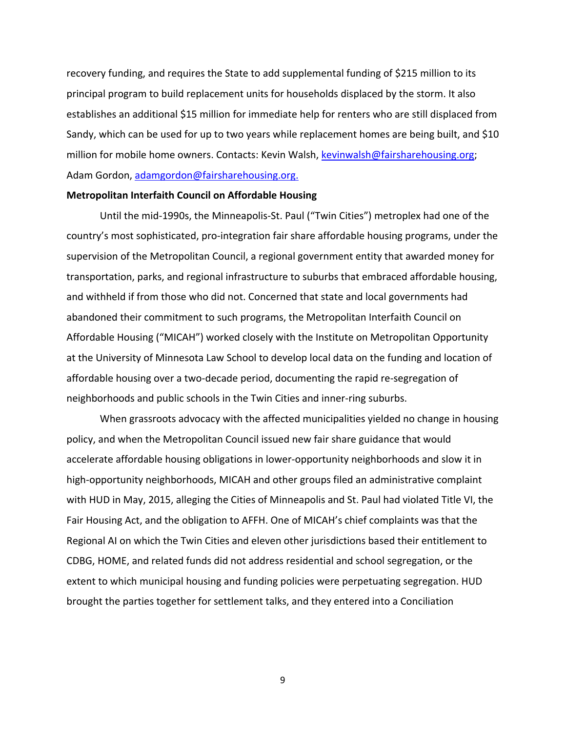recovery funding, and requires the State to add supplemental funding of \$215 million to its principal program to build replacement units for households displaced by the storm. It also establishes an additional \$15 million for immediate help for renters who are still displaced from Sandy, which can be used for up to two years while replacement homes are being built, and \$10 million for mobile home owners. Contacts: Kevin Walsh, [kevinwalsh@fairsharehousing.org;](mailto:kevinwalsh@fairsharehousing.org) Adam Gordon, [adamgordon@fairsharehousing.org.](mailto:adamgordon@fairsharehousing.org)

#### **Metropolitan Interfaith Council on Affordable Housing**

Until the mid-1990s, the Minneapolis-St. Paul ("Twin Cities") metroplex had one of the country's most sophisticated, pro-integration fair share affordable housing programs, under the supervision of the Metropolitan Council, a regional government entity that awarded money for transportation, parks, and regional infrastructure to suburbs that embraced affordable housing, and withheld if from those who did not. Concerned that state and local governments had abandoned their commitment to such programs, the Metropolitan Interfaith Council on Affordable Housing ("MICAH") worked closely with the Institute on Metropolitan Opportunity at the University of Minnesota Law School to develop local data on the funding and location of affordable housing over a two-decade period, documenting the rapid re-segregation of neighborhoods and public schools in the Twin Cities and inner-ring suburbs.

When grassroots advocacy with the affected municipalities yielded no change in housing policy, and when the Metropolitan Council issued new fair share guidance that would accelerate affordable housing obligations in lower-opportunity neighborhoods and slow it in high-opportunity neighborhoods, MICAH and other groups filed an administrative complaint with HUD in May, 2015, alleging the Cities of Minneapolis and St. Paul had violated Title VI, the Fair Housing Act, and the obligation to AFFH. One of MICAH's chief complaints was that the Regional AI on which the Twin Cities and eleven other jurisdictions based their entitlement to CDBG, HOME, and related funds did not address residential and school segregation, or the extent to which municipal housing and funding policies were perpetuating segregation. HUD brought the parties together for settlement talks, and they entered into a Conciliation

9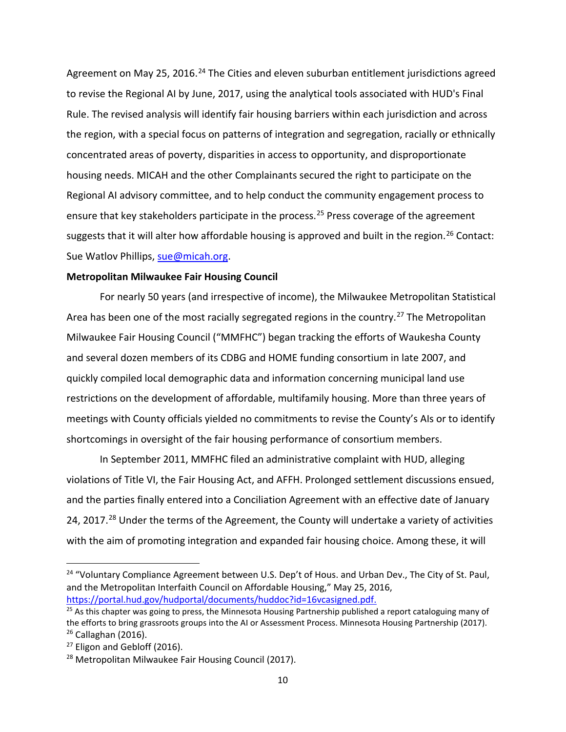Agreement on May 25, 2016.<sup>[24](#page-11-0)</sup> The Cities and eleven suburban entitlement jurisdictions agreed to revise the Regional AI by June, 2017, using the analytical tools associated with HUD's Final Rule. The revised analysis will identify fair housing barriers within each jurisdiction and across the region, with a special focus on patterns of integration and segregation, racially or ethnically concentrated areas of poverty, disparities in access to opportunity, and disproportionate housing needs. MICAH and the other Complainants secured the right to participate on the Regional AI advisory committee, and to help conduct the community engagement process to ensure that key stakeholders participate in the process.<sup>[25](#page-11-1)</sup> Press coverage of the agreement suggests that it will alter how affordable housing is approved and built in the region.<sup>[26](#page-11-2)</sup> Contact: Sue Watlov Phillips, [sue@micah.org.](mailto:sue@micah.org)

#### **Metropolitan Milwaukee Fair Housing Council**

For nearly 50 years (and irrespective of income), the Milwaukee Metropolitan Statistical Area has been one of the most racially segregated regions in the country.<sup>[27](#page-11-3)</sup> The Metropolitan Milwaukee Fair Housing Council ("MMFHC") began tracking the efforts of Waukesha County and several dozen members of its CDBG and HOME funding consortium in late 2007, and quickly compiled local demographic data and information concerning municipal land use restrictions on the development of affordable, multifamily housing. More than three years of meetings with County officials yielded no commitments to revise the County's AIs or to identify shortcomings in oversight of the fair housing performance of consortium members.

In September 2011, MMFHC filed an administrative complaint with HUD, alleging violations of Title VI, the Fair Housing Act, and AFFH. Prolonged settlement discussions ensued, and the parties finally entered into a Conciliation Agreement with an effective date of January 24, 2017.<sup>[28](#page-11-4)</sup> Under the terms of the Agreement, the County will undertake a variety of activities with the aim of promoting integration and expanded fair housing choice. Among these, it will

<span id="page-11-0"></span><sup>24</sup> "Voluntary Compliance Agreement between U.S. Dep't of Hous. and Urban Dev., The City of St. Paul, and the Metropolitan Interfaith Council on Affordable Housing," May 25, 2016, [https://portal.hud.gov/hudportal/documents/huddoc?id=16vcasigned.pdf.](https://portal.hud.gov/hudportal/documents/huddoc?id=16vcasigned.pdf)

<span id="page-11-1"></span> $25$  As this chapter was going to press, the Minnesota Housing Partnership published a report cataloguing many of the efforts to bring grassroots groups into the AI or Assessment Process. Minnesota Housing Partnership (2017).  $26$  Callaghan (2016).

<span id="page-11-3"></span><span id="page-11-2"></span><sup>&</sup>lt;sup>27</sup> Eligon and Gebloff (2016).

<span id="page-11-4"></span><sup>&</sup>lt;sup>28</sup> Metropolitan Milwaukee Fair Housing Council (2017).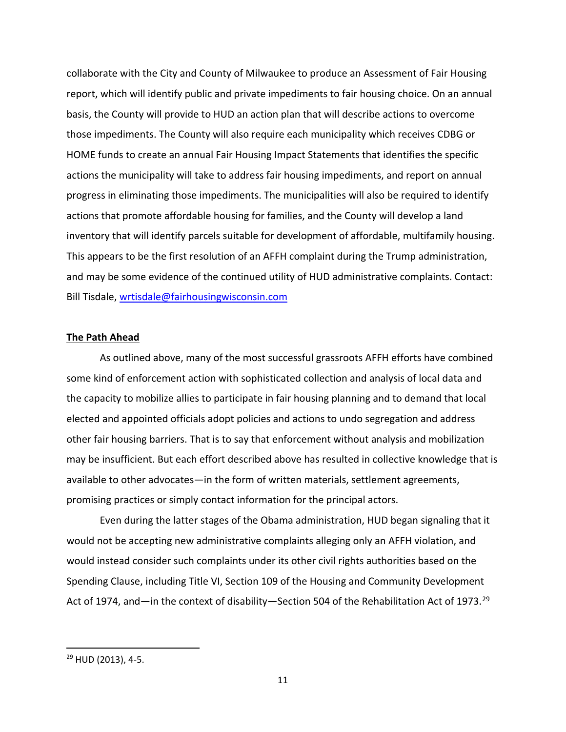collaborate with the City and County of Milwaukee to produce an Assessment of Fair Housing report, which will identify public and private impediments to fair housing choice. On an annual basis, the County will provide to HUD an action plan that will describe actions to overcome those impediments. The County will also require each municipality which receives CDBG or HOME funds to create an annual Fair Housing Impact Statements that identifies the specific actions the municipality will take to address fair housing impediments, and report on annual progress in eliminating those impediments. The municipalities will also be required to identify actions that promote affordable housing for families, and the County will develop a land inventory that will identify parcels suitable for development of affordable, multifamily housing. This appears to be the first resolution of an AFFH complaint during the Trump administration, and may be some evidence of the continued utility of HUD administrative complaints. Contact: Bill Tisdale, [wrtisdale@fairhousingwisconsin.com](mailto:wrtisdale@fairhousingwisconsin.com)

## **The Path Ahead**

As outlined above, many of the most successful grassroots AFFH efforts have combined some kind of enforcement action with sophisticated collection and analysis of local data and the capacity to mobilize allies to participate in fair housing planning and to demand that local elected and appointed officials adopt policies and actions to undo segregation and address other fair housing barriers. That is to say that enforcement without analysis and mobilization may be insufficient. But each effort described above has resulted in collective knowledge that is available to other advocates—in the form of written materials, settlement agreements, promising practices or simply contact information for the principal actors.

Even during the latter stages of the Obama administration, HUD began signaling that it would not be accepting new administrative complaints alleging only an AFFH violation, and would instead consider such complaints under its other civil rights authorities based on the Spending Clause, including Title VI, Section 109 of the Housing and Community Development Act of 1974, and—in the context of disability—Section 504 of the Rehabilitation Act of 1973.<sup>[29](#page-12-0)</sup>

<span id="page-12-0"></span><sup>&</sup>lt;sup>29</sup> HUD (2013), 4-5.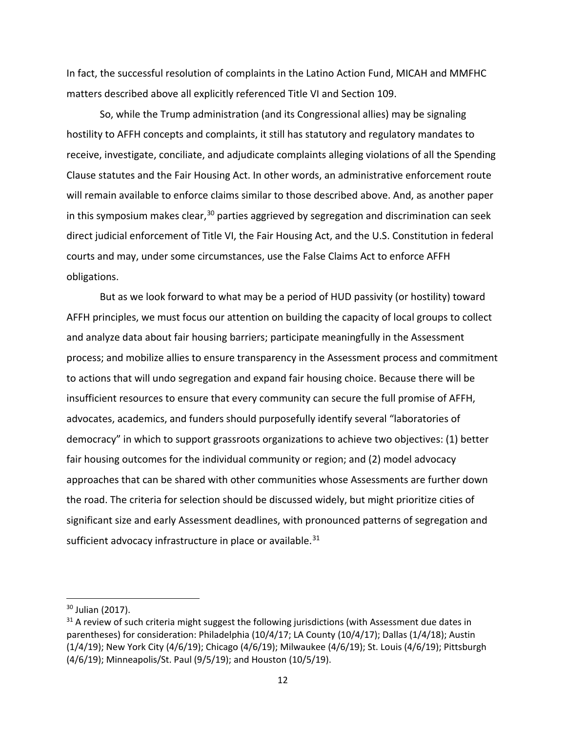In fact, the successful resolution of complaints in the Latino Action Fund, MICAH and MMFHC matters described above all explicitly referenced Title VI and Section 109.

So, while the Trump administration (and its Congressional allies) may be signaling hostility to AFFH concepts and complaints, it still has statutory and regulatory mandates to receive, investigate, conciliate, and adjudicate complaints alleging violations of all the Spending Clause statutes and the Fair Housing Act. In other words, an administrative enforcement route will remain available to enforce claims similar to those described above. And, as another paper in this symposium makes clear,  $30$  parties aggrieved by segregation and discrimination can seek direct judicial enforcement of Title VI, the Fair Housing Act, and the U.S. Constitution in federal courts and may, under some circumstances, use the False Claims Act to enforce AFFH obligations.

But as we look forward to what may be a period of HUD passivity (or hostility) toward AFFH principles, we must focus our attention on building the capacity of local groups to collect and analyze data about fair housing barriers; participate meaningfully in the Assessment process; and mobilize allies to ensure transparency in the Assessment process and commitment to actions that will undo segregation and expand fair housing choice. Because there will be insufficient resources to ensure that every community can secure the full promise of AFFH, advocates, academics, and funders should purposefully identify several "laboratories of democracy" in which to support grassroots organizations to achieve two objectives: (1) better fair housing outcomes for the individual community or region; and (2) model advocacy approaches that can be shared with other communities whose Assessments are further down the road. The criteria for selection should be discussed widely, but might prioritize cities of significant size and early Assessment deadlines, with pronounced patterns of segregation and sufficient advocacy infrastructure in place or available. $31$ 

<span id="page-13-0"></span> <sup>30</sup> Julian (2017).

<span id="page-13-1"></span> $31$  A review of such criteria might suggest the following jurisdictions (with Assessment due dates in parentheses) for consideration: Philadelphia (10/4/17; LA County (10/4/17); Dallas (1/4/18); Austin (1/4/19); New York City (4/6/19); Chicago (4/6/19); Milwaukee (4/6/19); St. Louis (4/6/19); Pittsburgh (4/6/19); Minneapolis/St. Paul (9/5/19); and Houston (10/5/19).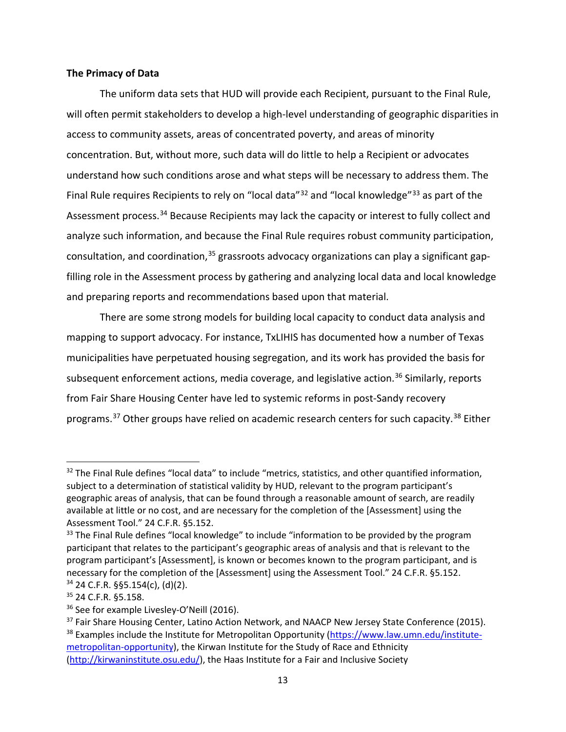## **The Primacy of Data**

The uniform data sets that HUD will provide each Recipient, pursuant to the Final Rule, will often permit stakeholders to develop a high-level understanding of geographic disparities in access to community assets, areas of concentrated poverty, and areas of minority concentration. But, without more, such data will do little to help a Recipient or advocates understand how such conditions arose and what steps will be necessary to address them. The Final Rule requires Recipients to rely on "local data"<sup>[32](#page-14-0)</sup> and "local knowledge"<sup>[33](#page-14-1)</sup> as part of the Assessment process.<sup>[34](#page-14-2)</sup> Because Recipients may lack the capacity or interest to fully collect and analyze such information, and because the Final Rule requires robust community participation, consultation, and coordination,<sup>[35](#page-14-3)</sup> grassroots advocacy organizations can play a significant gapfilling role in the Assessment process by gathering and analyzing local data and local knowledge and preparing reports and recommendations based upon that material.

There are some strong models for building local capacity to conduct data analysis and mapping to support advocacy. For instance, TxLIHIS has documented how a number of Texas municipalities have perpetuated housing segregation, and its work has provided the basis for subsequent enforcement actions, media coverage, and legislative action.<sup>[36](#page-14-4)</sup> Similarly, reports from Fair Share Housing Center have led to systemic reforms in post-Sandy recovery programs.<sup>[37](#page-14-5)</sup> Other groups have relied on academic research centers for such capacity.<sup>[38](#page-14-6)</sup> Either

<span id="page-14-0"></span><sup>&</sup>lt;sup>32</sup> The Final Rule defines "local data" to include "metrics, statistics, and other quantified information, subject to a determination of statistical validity by HUD, relevant to the program participant's geographic areas of analysis, that can be found through a reasonable amount of search, are readily available at little or no cost, and are necessary for the completion of the [Assessment] using the Assessment Tool." 24 C.F.R. §5.152.

<span id="page-14-1"></span> $33$  The Final Rule defines "local knowledge" to include "information to be provided by the program participant that relates to the participant's geographic areas of analysis and that is relevant to the program participant's [Assessment], is known or becomes known to the program participant, and is necessary for the completion of the [Assessment] using the Assessment Tool." 24 C.F.R. §5.152. <sup>34</sup> 24 C.F.R. §§5.154(c), (d)(2).

<span id="page-14-3"></span><span id="page-14-2"></span><sup>35</sup> 24 C.F.R. §5.158.

<span id="page-14-4"></span><sup>&</sup>lt;sup>36</sup> See for example Livesley-O'Neill (2016).

<span id="page-14-6"></span><span id="page-14-5"></span><sup>&</sup>lt;sup>37</sup> Fair Share Housing Center, Latino Action Network, and NAACP New Jersey State Conference (2015). <sup>38</sup> Examples include the Institute for Metropolitan Opportunity [\(https://www.law.umn.edu/institute](https://www.law.umn.edu/institute-metropolitan-opportunity)[metropolitan-opportunity\)](https://www.law.umn.edu/institute-metropolitan-opportunity), the Kirwan Institute for the Study of Race and Ethnicity [\(http://kirwaninstitute.osu.edu/\)](http://kirwaninstitute.osu.edu/), the Haas Institute for a Fair and Inclusive Society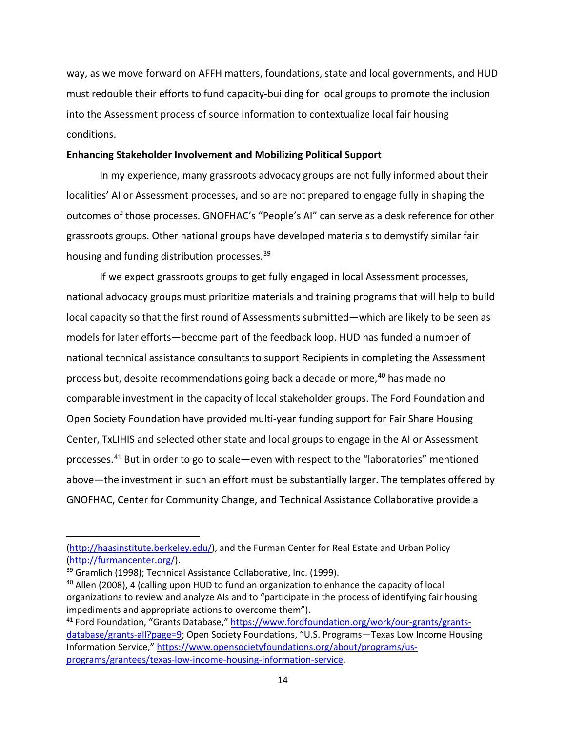way, as we move forward on AFFH matters, foundations, state and local governments, and HUD must redouble their efforts to fund capacity-building for local groups to promote the inclusion into the Assessment process of source information to contextualize local fair housing conditions.

## **Enhancing Stakeholder Involvement and Mobilizing Political Support**

In my experience, many grassroots advocacy groups are not fully informed about their localities' AI or Assessment processes, and so are not prepared to engage fully in shaping the outcomes of those processes. GNOFHAC's "People's AI" can serve as a desk reference for other grassroots groups. Other national groups have developed materials to demystify similar fair housing and funding distribution processes.<sup>[39](#page-15-0)</sup>

If we expect grassroots groups to get fully engaged in local Assessment processes, national advocacy groups must prioritize materials and training programs that will help to build local capacity so that the first round of Assessments submitted—which are likely to be seen as models for later efforts—become part of the feedback loop. HUD has funded a number of national technical assistance consultants to support Recipients in completing the Assessment process but, despite recommendations going back a decade or more,<sup>[40](#page-15-1)</sup> has made no comparable investment in the capacity of local stakeholder groups. The Ford Foundation and Open Society Foundation have provided multi-year funding support for Fair Share Housing Center, TxLIHIS and selected other state and local groups to engage in the AI or Assessment processes.[41](#page-15-2) But in order to go to scale—even with respect to the "laboratories" mentioned above—the investment in such an effort must be substantially larger. The templates offered by GNOFHAC, Center for Community Change, and Technical Assistance Collaborative provide a

 $\overline{a}$ 

[<sup>\(</sup>http://haasinstitute.berkeley.edu/\)](http://haasinstitute.berkeley.edu/), and the Furman Center for Real Estate and Urban Policy [\(http://furmancenter.org/\)](http://furmancenter.org/).

<span id="page-15-0"></span><sup>&</sup>lt;sup>39</sup> Gramlich (1998); Technical Assistance Collaborative, Inc. (1999).

<span id="page-15-1"></span><sup>&</sup>lt;sup>40</sup> Allen (2008), 4 (calling upon HUD to fund an organization to enhance the capacity of local organizations to review and analyze AIs and to "participate in the process of identifying fair housing impediments and appropriate actions to overcome them").

<span id="page-15-2"></span><sup>41</sup> Ford Foundation, "Grants Database,[" https://www.fordfoundation.org/work/our-grants/grants](https://www.fordfoundation.org/work/our-grants/grants-database/grants-all?page=9)[database/grants-all?page=9;](https://www.fordfoundation.org/work/our-grants/grants-database/grants-all?page=9) Open Society Foundations, "U.S. Programs—Texas Low Income Housing Information Service,[" https://www.opensocietyfoundations.org/about/programs/us](https://www.opensocietyfoundations.org/about/programs/us-programs/grantees/texas-low-income-housing-information-service)[programs/grantees/texas-low-income-housing-information-service.](https://www.opensocietyfoundations.org/about/programs/us-programs/grantees/texas-low-income-housing-information-service)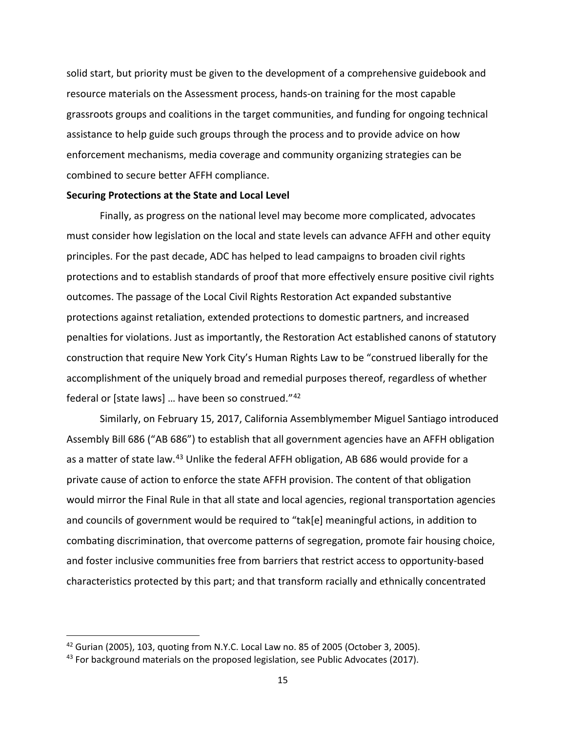solid start, but priority must be given to the development of a comprehensive guidebook and resource materials on the Assessment process, hands-on training for the most capable grassroots groups and coalitions in the target communities, and funding for ongoing technical assistance to help guide such groups through the process and to provide advice on how enforcement mechanisms, media coverage and community organizing strategies can be combined to secure better AFFH compliance.

#### **Securing Protections at the State and Local Level**

Finally, as progress on the national level may become more complicated, advocates must consider how legislation on the local and state levels can advance AFFH and other equity principles. For the past decade, ADC has helped to lead campaigns to broaden civil rights protections and to establish standards of proof that more effectively ensure positive civil rights outcomes. The passage of the Local Civil Rights Restoration Act expanded substantive protections against retaliation, extended protections to domestic partners, and increased penalties for violations. Just as importantly, the Restoration Act established canons of statutory construction that require New York City's Human Rights Law to be "construed liberally for the accomplishment of the uniquely broad and remedial purposes thereof, regardless of whether federal or [state laws] … have been so construed."[42](#page-16-0)

Similarly, on February 15, 2017, California Assemblymember Miguel Santiago introduced Assembly Bill 686 ("AB 686") to establish that all government agencies have an AFFH obligation as a matter of state law.<sup>[43](#page-16-1)</sup> Unlike the federal AFFH obligation, AB 686 would provide for a private cause of action to enforce the state AFFH provision. The content of that obligation would mirror the Final Rule in that all state and local agencies, regional transportation agencies and councils of government would be required to "tak[e] meaningful actions, in addition to combating discrimination, that overcome patterns of segregation, promote fair housing choice, and foster inclusive communities free from barriers that restrict access to opportunity-based characteristics protected by this part; and that transform racially and ethnically concentrated

<span id="page-16-0"></span> $42$  Gurian (2005), 103, quoting from N.Y.C. Local Law no. 85 of 2005 (October 3, 2005).

<span id="page-16-1"></span> $43$  For background materials on the proposed legislation, see Public Advocates (2017).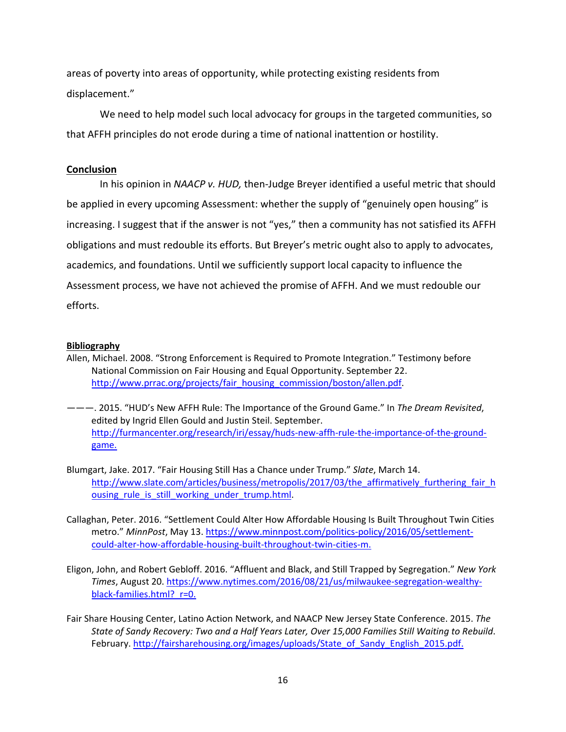areas of poverty into areas of opportunity, while protecting existing residents from displacement."

We need to help model such local advocacy for groups in the targeted communities, so that AFFH principles do not erode during a time of national inattention or hostility.

## **Conclusion**

In his opinion in *NAACP v. HUD,* then-Judge Breyer identified a useful metric that should be applied in every upcoming Assessment: whether the supply of "genuinely open housing" is increasing. I suggest that if the answer is not "yes," then a community has not satisfied its AFFH obligations and must redouble its efforts. But Breyer's metric ought also to apply to advocates, academics, and foundations. Until we sufficiently support local capacity to influence the Assessment process, we have not achieved the promise of AFFH. And we must redouble our efforts.

# **Bibliography**

- Allen, Michael. 2008. "Strong Enforcement is Required to Promote Integration." Testimony before National Commission on Fair Housing and Equal Opportunity. September 22. [http://www.prrac.org/projects/fair\\_housing\\_commission/boston/allen.pdf.](http://www.prrac.org/projects/fair_housing_commission/boston/allen.pdf)
- ———. 2015. "HUD's New AFFH Rule: The Importance of the Ground Game." In *The Dream Revisited*, edited by Ingrid Ellen Gould and Justin Steil. September. [http://furmancenter.org/research/iri/essay/huds-new-affh-rule-the-importance-of-the-ground](http://furmancenter.org/research/iri/essay/huds-new-affh-rule-the-importance-of-the-ground-game)[game.](http://furmancenter.org/research/iri/essay/huds-new-affh-rule-the-importance-of-the-ground-game)
- Blumgart, Jake. 2017. "Fair Housing Still Has a Chance under Trump." *Slate*, March 14. [http://www.slate.com/articles/business/metropolis/2017/03/the\\_affirmatively\\_furthering\\_fair\\_h](http://www.slate.com/articles/business/metropolis/2017/03/the_affirmatively_furthering_fair_housing_rule_is_still_working_under_trump.html) ousing rule is still working under trump.html.
- Callaghan, Peter. 2016. "Settlement Could Alter How Affordable Housing Is Built Throughout Twin Cities metro." *MinnPost*, May 13. [https://www.minnpost.com/politics-policy/2016/05/settlement](https://www.minnpost.com/politics-policy/2016/05/settlement-could-alter-how-affordable-housing-built-throughout-twin-cities-m)[could-alter-how-affordable-housing-built-throughout-twin-cities-m.](https://www.minnpost.com/politics-policy/2016/05/settlement-could-alter-how-affordable-housing-built-throughout-twin-cities-m)
- Eligon, John, and Robert Gebloff. 2016. "Affluent and Black, and Still Trapped by Segregation." *New York Times*, August 20. [https://www.nytimes.com/2016/08/21/us/milwaukee-segregation-wealthy](https://www.nytimes.com/2016/08/21/us/milwaukee-segregation-wealthy-black-families.html?_r=0)black-families.html? r=0.
- Fair Share Housing Center, Latino Action Network, and NAACP New Jersey State Conference. 2015. *The State of Sandy Recovery: Two and a Half Years Later, Over 15,000 Families Still Waiting to Rebuild*. February. [http://fairsharehousing.org/images/uploads/State\\_of\\_Sandy\\_English\\_2015.pdf.](http://fairsharehousing.org/images/uploads/State_of_Sandy_English_2015.pdf)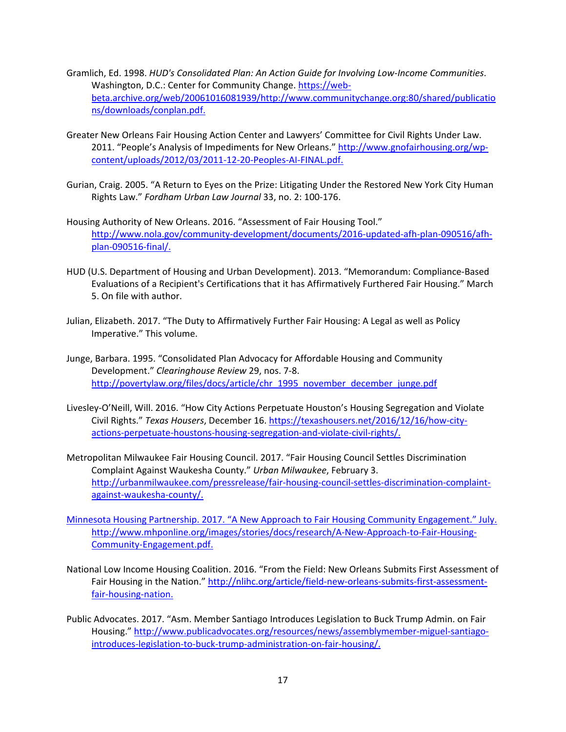- Gramlich, Ed. 1998. *HUD's Consolidated Plan: An Action Guide for Involving Low-Income Communities*. Washington, D.C.: Center for Community Change. [https://web](https://web-beta.archive.org/web/20061016081939/http:/www.communitychange.org:80/shared/publications/downloads/conplan.pdf)[beta.archive.org/web/20061016081939/http://www.communitychange.org:80/shared/publicatio](https://web-beta.archive.org/web/20061016081939/http:/www.communitychange.org:80/shared/publications/downloads/conplan.pdf) [ns/downloads/conplan.pdf.](https://web-beta.archive.org/web/20061016081939/http:/www.communitychange.org:80/shared/publications/downloads/conplan.pdf)
- Greater New Orleans Fair Housing Action Center and Lawyers' Committee for Civil Rights Under Law. 2011. "People's Analysis of Impediments for New Orleans." [http://www.gnofairhousing.org/wp](http://www.gnofairhousing.org/wp-content/uploads/2012/03/2011-12-20-Peoples-AI-FINAL.pdf)[content/uploads/2012/03/2011-12-20-Peoples-AI-FINAL.pdf.](http://www.gnofairhousing.org/wp-content/uploads/2012/03/2011-12-20-Peoples-AI-FINAL.pdf)
- Gurian, Craig. 2005. "A Return to Eyes on the Prize: Litigating Under the Restored New York City Human Rights Law." *Fordham Urban Law Journal* 33, no. 2: 100-176.
- Housing Authority of New Orleans. 2016. "Assessment of Fair Housing Tool." [http://www.nola.gov/community-development/documents/2016-updated-afh-plan-090516/afh](http://www.nola.gov/community-development/documents/2016-updated-afh-plan-090516/afh-plan-090516-final/)[plan-090516-final/.](http://www.nola.gov/community-development/documents/2016-updated-afh-plan-090516/afh-plan-090516-final/)
- HUD (U.S. Department of Housing and Urban Development). 2013. "Memorandum: Compliance-Based Evaluations of a Recipient's Certifications that it has Affirmatively Furthered Fair Housing." March 5. On file with author.
- Julian, Elizabeth. 2017. "The Duty to Affirmatively Further Fair Housing: A Legal as well as Policy Imperative." This volume.
- Junge, Barbara. 1995. "Consolidated Plan Advocacy for Affordable Housing and Community Development." *Clearinghouse Review* 29, nos. 7-8. [http://povertylaw.org/files/docs/article/chr\\_1995\\_november\\_december\\_junge.pdf](http://povertylaw.org/files/docs/article/chr_1995_november_december_junge.pdf)
- Livesley-O'Neill, Will. 2016. "How City Actions Perpetuate Houston's Housing Segregation and Violate Civil Rights." *Texas Housers*, December 16. [https://texashousers.net/2016/12/16/how-city](https://texashousers.net/2016/12/16/how-city-actions-perpetuate-houstons-housing-segregation-and-violate-civil-rights/)[actions-perpetuate-houstons-housing-segregation-and-violate-civil-rights/.](https://texashousers.net/2016/12/16/how-city-actions-perpetuate-houstons-housing-segregation-and-violate-civil-rights/)
- Metropolitan Milwaukee Fair Housing Council. 2017. "Fair Housing Council Settles Discrimination Complaint Against Waukesha County." *Urban Milwaukee*, February 3. [http://urbanmilwaukee.com/pressrelease/fair-housing-council-settles-discrimination-complaint](http://urbanmilwaukee.com/pressrelease/fair-housing-council-settles-discrimination-complaint-against-waukesha-county/)[against-waukesha-county/.](http://urbanmilwaukee.com/pressrelease/fair-housing-council-settles-discrimination-complaint-against-waukesha-county/)
- Minnesota Housing Partnership. 2017. "A New Approach to Fair Housing Community Engagement." July. [http://www.mhponline.org/images/stories/docs/research/A-New-Approach-to-Fair-Housing-](http://www.mhponline.org/images/stories/docs/research/A-New-Approach-to-Fair-Housing-Community-Engagement.pdf)[Community-Engagement.pdf.](http://www.mhponline.org/images/stories/docs/research/A-New-Approach-to-Fair-Housing-Community-Engagement.pdf)
- National Low Income Housing Coalition. 2016. "From the Field: New Orleans Submits First Assessment of Fair Housing in the Nation." [http://nlihc.org/article/field-new-orleans-submits-first-assessment](http://nlihc.org/article/field-new-orleans-submits-first-assessment-fair-housing-nation)[fair-housing-nation.](http://nlihc.org/article/field-new-orleans-submits-first-assessment-fair-housing-nation)
- Public Advocates. 2017. "Asm. Member Santiago Introduces Legislation to Buck Trump Admin. on Fair Housing." [http://www.publicadvocates.org/resources/news/assemblymember-miguel-santiago](http://www.publicadvocates.org/resources/news/assemblymember-miguel-santiago-introduces-legislation-to-buck-trump-administration-on-fair-housing/)[introduces-legislation-to-buck-trump-administration-on-fair-housing/.](http://www.publicadvocates.org/resources/news/assemblymember-miguel-santiago-introduces-legislation-to-buck-trump-administration-on-fair-housing/)